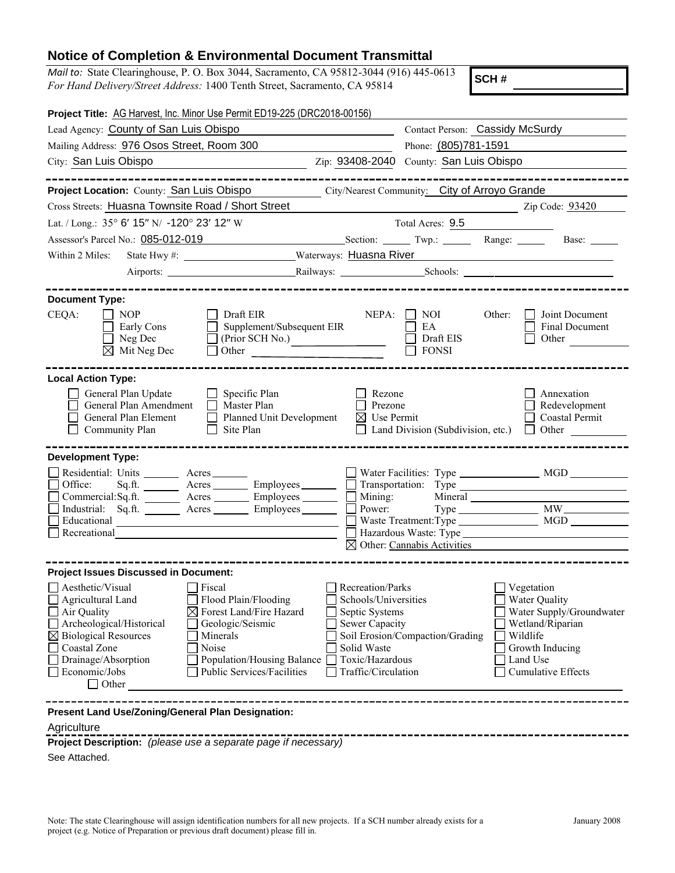## **Notice of Completion & Environmental Document Transmittal**

*Mail to:* State Clearinghouse, P. O. Box 3044, Sacramento, CA 95812-3044 (916) 445-0613 *For Hand Delivery/Street Address:* 1400 Tenth Street, Sacramento, CA 95814

**SCH #**

| Project Title: AG Harvest, Inc. Minor Use Permit ED19-225 (DRC2018-00156)                                                                                                                                      |                                                                                                                                                                |                         |                                                                                                                                       |                                                       |                      |                                                                                                                             |
|----------------------------------------------------------------------------------------------------------------------------------------------------------------------------------------------------------------|----------------------------------------------------------------------------------------------------------------------------------------------------------------|-------------------------|---------------------------------------------------------------------------------------------------------------------------------------|-------------------------------------------------------|----------------------|-----------------------------------------------------------------------------------------------------------------------------|
| Lead Agency: County of San Luis Obispo                                                                                                                                                                         | Contact Person: Cassidy McSurdy                                                                                                                                |                         |                                                                                                                                       |                                                       |                      |                                                                                                                             |
| Mailing Address: 976 Osos Street, Room 300                                                                                                                                                                     | Phone: (805)781-1591                                                                                                                                           |                         |                                                                                                                                       |                                                       |                      |                                                                                                                             |
| City: San Luis Obispo                                                                                                                                                                                          |                                                                                                                                                                | County: San Luis Obispo |                                                                                                                                       |                                                       |                      |                                                                                                                             |
|                                                                                                                                                                                                                |                                                                                                                                                                |                         |                                                                                                                                       |                                                       |                      |                                                                                                                             |
| Project Location: County: San Luis Obispo                                                                                                                                                                      |                                                                                                                                                                |                         |                                                                                                                                       | City/Nearest Community: City of Arroyo Grande         |                      |                                                                                                                             |
| Cross Streets: Huasna Townsite Road / Short Street                                                                                                                                                             |                                                                                                                                                                |                         |                                                                                                                                       |                                                       |                      | Zip Code: <u>93420</u>                                                                                                      |
| Lat. / Long.: 35° 6' 15" N/ -120° 23' 12" W                                                                                                                                                                    |                                                                                                                                                                |                         |                                                                                                                                       | Total Acres: 9.5                                      |                      |                                                                                                                             |
| Assessor's Parcel No.: 085-012-019                                                                                                                                                                             |                                                                                                                                                                |                         |                                                                                                                                       |                                                       |                      | Section: Twp.: Range: Base: Base: 2014                                                                                      |
| Within 2 Miles:                                                                                                                                                                                                |                                                                                                                                                                |                         |                                                                                                                                       |                                                       |                      |                                                                                                                             |
|                                                                                                                                                                                                                |                                                                                                                                                                |                         |                                                                                                                                       |                                                       |                      |                                                                                                                             |
|                                                                                                                                                                                                                |                                                                                                                                                                |                         |                                                                                                                                       |                                                       |                      |                                                                                                                             |
| <b>Document Type:</b><br>CEQA:<br>NOP<br>Early Cons<br>$\Box$ Neg Dec<br>$\boxtimes$ Mit Neg Dec                                                                                                               | Draft EIR<br>Supplement/Subsequent EIR<br>(Prior SCH No.)                                                                                                      |                         |                                                                                                                                       | $NEPA: \Box \ NOI$<br>EA<br>Draft EIS<br><b>FONSI</b> | Other:               | <b>Joint Document</b><br>Final Document<br>Other                                                                            |
| <b>Local Action Type:</b><br>General Plan Update<br>General Plan Amendment<br>General Plan Element<br>Community Plan                                                                                           | $\Box$ Specific Plan<br>Master Plan<br>Planned Unit Development<br>$\Box$<br>Site Plan<br>$\perp$                                                              |                         | Rezone<br>Prezone<br>$\boxtimes$ Use Permit<br>$\perp$                                                                                | Land Division (Subdivision, etc.)                     |                      | Annexation<br>$\Box$ Redevelopment<br>$\Box$ Coastal Permit<br>$\Box$ Other $\Box$                                          |
| <b>Development Type:</b><br>Residential: Units ________ Acres _______<br>Office:<br>Commercial:Sq.ft. Acres ________ Employees _______<br>Industrial: Sq.ft. Acres ________ Employees ________<br>Recreational | $Sqrft.$ Acres $\overline{\qquad}$ Employees $\overline{\qquad}$ Transportation: Type $\overline{\qquad}$ and $\overline{\qquad}$                              | $\mathbf{L}$            | $\mathbf{L}$                                                                                                                          |                                                       |                      | Power: Type MW<br>$\boxtimes$ Other: Cannabis Activities                                                                    |
| <b>Project Issues Discussed in Document:</b>                                                                                                                                                                   |                                                                                                                                                                |                         |                                                                                                                                       |                                                       |                      |                                                                                                                             |
| $\Box$ Aesthetic/Visual<br>Agricultural Land<br>Air Quality<br>Archeological/Historical<br>$\boxtimes$ Biological Resources<br>Coastal Zone<br>Drainage/Absorption<br>Economic/Jobs<br>$\Box$ Other            | Fiscal<br>Flood Plain/Flooding<br>Forest Land/Fire Hazard<br>Geologic/Seismic<br>Minerals<br>Noise<br>Population/Housing Balance<br>Public Services/Facilities |                         | Recreation/Parks<br>Schools/Universities<br>Septic Systems<br>Sewer Capacity<br>Solid Waste<br>Toxic/Hazardous<br>Traffic/Circulation | Soil Erosion/Compaction/Grading                       | Wildlife<br>Land Use | Vegetation<br>Water Quality<br>Water Supply/Groundwater<br>Wetland/Riparian<br>Growth Inducing<br><b>Cumulative Effects</b> |
| Present Land Use/Zoning/General Plan Designation:<br>Agriculture                                                                                                                                               |                                                                                                                                                                |                         |                                                                                                                                       |                                                       |                      |                                                                                                                             |

**Project Description:** *(please use a separate page if necessary)*

See Attached.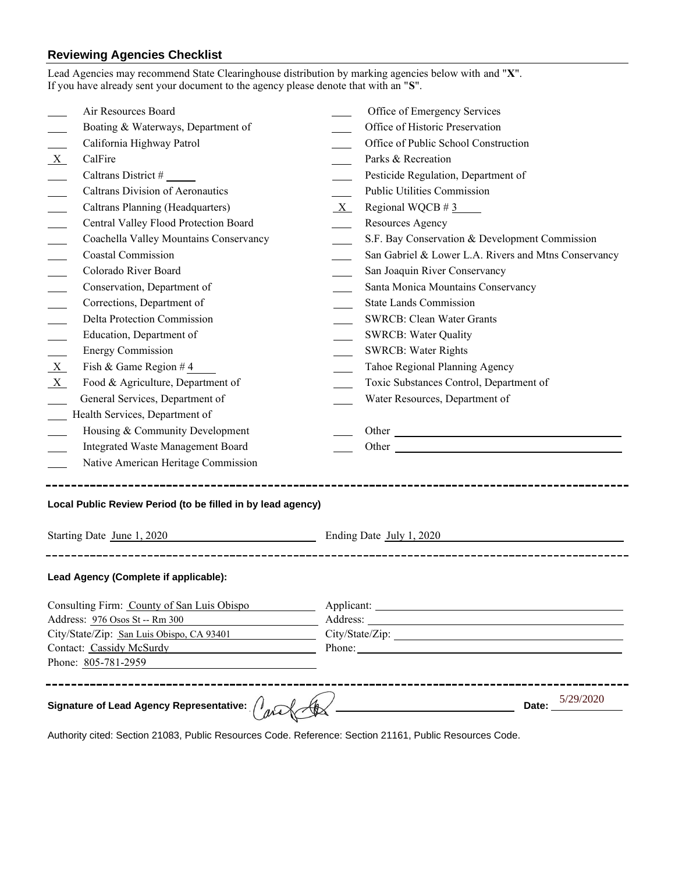## **Reviewing Agencies Checklist**

|         | Lead Agencies may recommend State Clearinghouse distribution by marking agencies below with and "X".<br>If you have already sent your document to the agency please denote that with an "S". |   |                                                                                                                                                                                                                                |
|---------|----------------------------------------------------------------------------------------------------------------------------------------------------------------------------------------------|---|--------------------------------------------------------------------------------------------------------------------------------------------------------------------------------------------------------------------------------|
|         | Air Resources Board                                                                                                                                                                          |   | Office of Emergency Services                                                                                                                                                                                                   |
|         | Boating & Waterways, Department of                                                                                                                                                           |   | Office of Historic Preservation                                                                                                                                                                                                |
|         | California Highway Patrol                                                                                                                                                                    |   | Office of Public School Construction                                                                                                                                                                                           |
| $X_{-}$ | CalFire                                                                                                                                                                                      |   | Parks & Recreation                                                                                                                                                                                                             |
|         |                                                                                                                                                                                              |   | Pesticide Regulation, Department of                                                                                                                                                                                            |
|         | <b>Caltrans Division of Aeronautics</b>                                                                                                                                                      |   | <b>Public Utilities Commission</b>                                                                                                                                                                                             |
|         | Caltrans Planning (Headquarters)                                                                                                                                                             | X | Regional WQCB $\#$ 3                                                                                                                                                                                                           |
|         | Central Valley Flood Protection Board                                                                                                                                                        |   | Resources Agency                                                                                                                                                                                                               |
|         | Coachella Valley Mountains Conservancy                                                                                                                                                       |   | S.F. Bay Conservation & Development Commission                                                                                                                                                                                 |
|         | <b>Coastal Commission</b>                                                                                                                                                                    |   | San Gabriel & Lower L.A. Rivers and Mtns Conservancy                                                                                                                                                                           |
|         | Colorado River Board                                                                                                                                                                         |   | San Joaquin River Conservancy                                                                                                                                                                                                  |
|         | Conservation, Department of                                                                                                                                                                  |   | Santa Monica Mountains Conservancy                                                                                                                                                                                             |
|         | Corrections, Department of                                                                                                                                                                   |   | <b>State Lands Commission</b>                                                                                                                                                                                                  |
|         | Delta Protection Commission                                                                                                                                                                  |   | <b>SWRCB: Clean Water Grants</b>                                                                                                                                                                                               |
|         | Education, Department of                                                                                                                                                                     |   | <b>SWRCB: Water Quality</b>                                                                                                                                                                                                    |
|         | <b>Energy Commission</b>                                                                                                                                                                     |   | <b>SWRCB: Water Rights</b>                                                                                                                                                                                                     |
| X       | Fish & Game Region #4                                                                                                                                                                        |   | Tahoe Regional Planning Agency                                                                                                                                                                                                 |
| $X_{-}$ | Food & Agriculture, Department of                                                                                                                                                            |   | Toxic Substances Control, Department of                                                                                                                                                                                        |
|         | General Services, Department of                                                                                                                                                              |   | Water Resources, Department of                                                                                                                                                                                                 |
|         | Health Services, Department of                                                                                                                                                               |   |                                                                                                                                                                                                                                |
|         | Housing & Community Development                                                                                                                                                              |   |                                                                                                                                                                                                                                |
|         | Integrated Waste Management Board                                                                                                                                                            |   |                                                                                                                                                                                                                                |
|         | Native American Heritage Commission                                                                                                                                                          |   |                                                                                                                                                                                                                                |
|         | Local Public Review Period (to be filled in by lead agency)<br>Ending Date July 1, 2020<br>Starting Date June 1, 2020                                                                        |   |                                                                                                                                                                                                                                |
|         | Lead Agency (Complete if applicable):<br>Consulting Firm: County of San Luis Obispo<br>Address: 976 Osos St -- Rm 300<br>City/State/Zip: San Luis Obispo, CA 93401                           |   | Phone: Note and the second contract of the second contract of the second contract of the second contract of the second contract of the second contract of the second contract of the second contract of the second contract of |
|         | Contact: Cassidy McSurdy Manual Contact: Cassidy McSurdy<br>Phone: 805-781-2959<br>Signature of Lead Agency Representative: $\left/\right)_{a}$                                              |   | 5/29/2020<br>Date:                                                                                                                                                                                                             |
|         |                                                                                                                                                                                              |   |                                                                                                                                                                                                                                |

Authority cited: Section 21083, Public Resources Code. Reference: Section 21161, Public Resources Code.